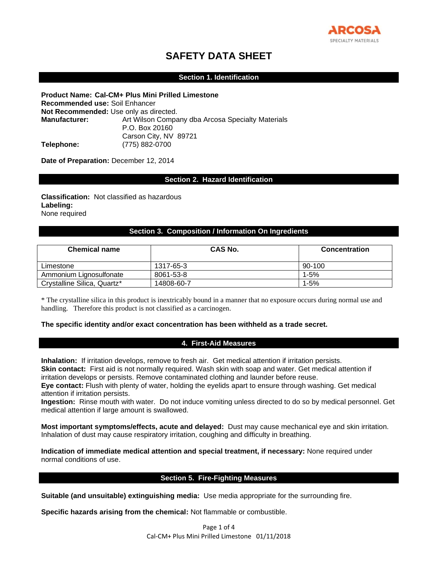

# **SAFETY DATA SHEET**

# **Section 1. Identification**

**Product Name: Cal-CM+ Plus Mini Prilled Limestone Recommended use:** Soil Enhancer **Not Recommended:** Use only as directed. **Manufacturer:** Art Wilson Company dba Arcosa Specialty Materials P.O. Box 20160 Carson City, NV 89721 **Telephone:** (775) 882-0700

**Date of Preparation:** December 12, 2014

## **Section 2. Hazard Identification**

**Classification:** Not classified as hazardous **Labeling:**  None required

# **Section 3. Composition / Information On Ingredients**

| <b>Chemical name</b>        | CAS No.    | <b>Concentration</b> |
|-----------------------------|------------|----------------------|
| Limestone                   | 1317-65-3  | 90-100               |
| Ammonium Lignosulfonate     | 8061-53-8  | 1-5%                 |
| Crystalline Silica, Quartz* | 14808-60-7 | 1-5%                 |

\* The crystalline silica in this product is inextricably bound in a manner that no exposure occurs during normal use and handling. Therefore this product is not classified as a carcinogen.

#### **The specific identity and/or exact concentration has been withheld as a trade secret.**

#### **4. First-Aid Measures**

**Inhalation:** If irritation develops, remove to fresh air. Get medical attention if irritation persists. **Skin contact:** First aid is not normally required. Wash skin with soap and water. Get medical attention if irritation develops or persists. Remove contaminated clothing and launder before reuse.

**Eye contact:** Flush with plenty of water, holding the eyelids apart to ensure through washing. Get medical attention if irritation persists.

**Ingestion:** Rinse mouth with water. Do not induce vomiting unless directed to do so by medical personnel. Get medical attention if large amount is swallowed.

**Most important symptoms/effects, acute and delayed:** Dust may cause mechanical eye and skin irritation. Inhalation of dust may cause respiratory irritation, coughing and difficulty in breathing.

**Indication of immediate medical attention and special treatment, if necessary:** None required under normal conditions of use.

## **Section 5. Fire-Fighting Measures**

**Suitable (and unsuitable) extinguishing media:** Use media appropriate for the surrounding fire.

**Specific hazards arising from the chemical:** Not flammable or combustible.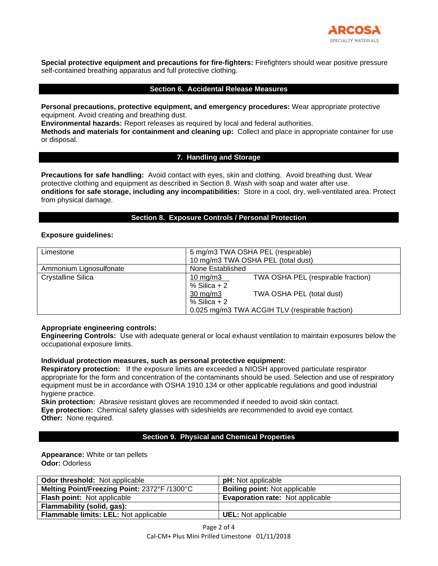

**Special protective equipment and precautions for fire-fighters:** Firefighters should wear positive pressure self-contained breathing apparatus and full protective clothing.

## **Section 6. Accidental Release Measures**

**Personal precautions, protective equipment, and emergency procedures:** Wear appropriate protective equipment. Avoid creating and breathing dust.

**Environmental hazards:** Report releases as required by local and federal authorities.

**Methods and materials for containment and cleaning up:** Collect and place in appropriate container for use or disposal.

# **7. Handling and Storage**

**Precautions for safe handling:** Avoid contact with eyes, skin and clothing. Avoid breathing dust. Wear protective clothing and equipment as described in Section 8. Wash with soap and water after use. **onditions for safe storage, including any incompatibilities:** Store in a cool, dry, well-ventilated area. Protect from physical damage.

# **Section 8. Exposure Controls / Personal Protection**

#### **Exposure guidelines:**

| Limestone               | 5 mg/m3 TWA OSHA PEL (respirable)                 |  |  |  |
|-------------------------|---------------------------------------------------|--|--|--|
|                         | 10 mg/m3 TWA OSHA PEL (total dust)                |  |  |  |
| Ammonium Lignosulfonate | None Established                                  |  |  |  |
| Crystalline Silica      | TWA OSHA PEL (respirable fraction)<br>10 mg/m $3$ |  |  |  |
|                         | % Silica $+2$                                     |  |  |  |
|                         | TWA OSHA PEL (total dust)<br>$30 \text{ mg/m}$    |  |  |  |
|                         | % Silica $+2$                                     |  |  |  |
|                         | 0.025 mg/m3 TWA ACGIH TLV (respirable fraction)   |  |  |  |

## **Appropriate engineering controls:**

**Engineering Controls:** Use with adequate general or local exhaust ventilation to maintain exposures below the occupational exposure limits.

## **Individual protection measures, such as personal protective equipment:**

**Respiratory protection:** If the exposure limits are exceeded a NIOSH approved particulate respirator appropriate for the form and concentration of the contaminants should be used. Selection and use of respiratory equipment must be in accordance with OSHA 1910.134 or other applicable regulations and good industrial hygiene practice.

**Skin protection:** Abrasive resistant gloves are recommended if needed to avoid skin contact. **Eye protection:** Chemical safety glasses with sideshields are recommended to avoid eye contact. **Other:** None required.

## **Section 9. Physical and Chemical Properties**

## **Appearance:** White or tan pellets **Odor:** Odorless

| <b>Odor threshold:</b> Not applicable        | <b>pH:</b> Not applicable               |
|----------------------------------------------|-----------------------------------------|
| Melting Point/Freezing Point: 2372°F /1300°C | <b>Boiling point: Not applicable</b>    |
| <b>Flash point:</b> Not applicable           | <b>Evaporation rate: Not applicable</b> |
| Flammability (solid, gas):                   |                                         |
| Flammable limits: LEL: Not applicable        | <b>UEL:</b> Not applicable              |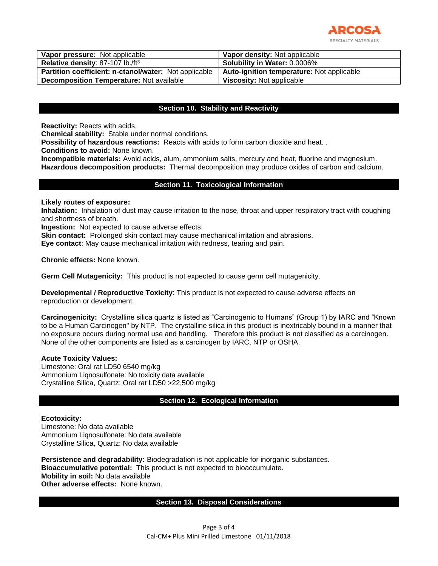

| Vapor pressure: Not applicable                        | Vapor density: Not applicable             |
|-------------------------------------------------------|-------------------------------------------|
| Relative density: 87-107 lb./ft <sup>3</sup>          | <b>Solubility in Water: 0.0006%</b>       |
| Partition coefficient: n-ctanol/water: Not applicable | Auto-ignition temperature: Not applicable |
| <b>Decomposition Temperature:</b> Not available       | <b>Viscosity: Not applicable</b>          |

# **Section 10. Stability and Reactivity**

**Reactivity:** Reacts with acids.

**Chemical stability:** Stable under normal conditions.

**Possibility of hazardous reactions:** Reacts with acids to form carbon dioxide and heat. .

**Conditions to avoid:** None known.

**Incompatible materials:** Avoid acids, alum, ammonium salts, mercury and heat, fluorine and magnesium. **Hazardous decomposition products:** Thermal decomposition may produce oxides of carbon and calcium.

# **Section 11. Toxicological Information**

#### **Likely routes of exposure:**

**Inhalation:** Inhalation of dust may cause irritation to the nose, throat and upper respiratory tract with coughing and shortness of breath.

**Ingestion:** Not expected to cause adverse effects.

**Skin contact:** Prolonged skin contact may cause mechanical irritation and abrasions.

**Eye contact**: May cause mechanical irritation with redness, tearing and pain.

**Chronic effects:** None known.

**Germ Cell Mutagenicity:** This product is not expected to cause germ cell mutagenicity.

**Developmental / Reproductive Toxicity**: This product is not expected to cause adverse effects on reproduction or development.

**Carcinogenicity:** Crystalline silica quartz is listed as "Carcinogenic to Humans" (Group 1) by IARC and "Known to be a Human Carcinogen" by NTP. The crystalline silica in this product is inextricably bound in a manner that no exposure occurs during normal use and handling. Therefore this product is not classified as a carcinogen. None of the other components are listed as a carcinogen by IARC, NTP or OSHA.

#### **Acute Toxicity Values:**

Limestone: Oral rat LD50 6540 mg/kg Ammonium Liqnosulfonate: No toxicity data available Crystalline Silica, Quartz: Oral rat LD50 >22,500 mg/kg

## **Section 12. Ecological Information**

#### **Ecotoxicity:**

Limestone: No data available Ammonium Liqnosulfonate: No data available Crystalline Silica, Quartz: No data available

**Persistence and degradability:** Biodegradation is not applicable for inorganic substances. **Bioaccumulative potential:** This product is not expected to bioaccumulate. **Mobility in soil:** No data available **Other adverse effects:** None known.

## **Section 13. Disposal Considerations**